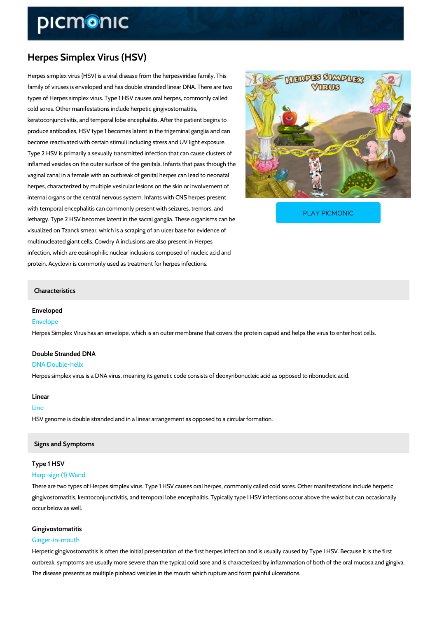# Herpes Simplex Virus (HSV)

Herpes simplex virus (HSV) is a viral disease from the herpesviridae family. This family of viruses is enveloped and has double stranded linear DNA. There are two types of Herpes simplex virus. Type 1 HSV causes oral herpes, commonly called cold sores. Other manifestations include herpetic gingivostomatitis, keratoconjunctivitis, and temporal lobe encephalitis. After the patient begins to produce antibodies, HSV type 1 becomes latent in the trigeminal ganglia and can become reactivated with certain stimuli including stress and UV light exposure. Type 2 HSV is primarily a sexually transmitted infection that can cause clusters of inflamed vesicles on the outer surface of the genitals. Infants that pass through the vaginal canal in a female with an outbreak of genital herpes can lead to neonatal herpes, characterized by multiple vesicular lesions on the skin or involvement of internal organs or the central nervous system. Infants with CNS herpes present

with temporal encephalitis can commonly present with sei lethargy. Type 2 HSV becomes latent in the sacral ganglia. These organisms can be organisms can be organisms c

visualized on Tzanck smear, which is a scraping of an ulcer base for evidence of multinucleated giant cells. Cowdry A inclusions are also present in Herpes infection, which are eosinophilic nuclear inclusions composed of nucleic acid and protein. Acyclovir is commonly used as treatment for herpes infections.

### Characteristics

Enveloped Envelope Herpes Simplex Virus has an envelope, which is an outer membrane that covers the protein ca

[PLAY PICMONIC](https://www.picmonic.com/learn/herpes-simplex-virus_221?utm_source=downloadable_content&utm_medium=distributedcontent&utm_campaign=pathways_pdf&utm_content=Herpes Simplex Virus (HSV)&utm_ad_group=leads&utm_market=all)

Double Stranded DNA DNA Double-helix Herpes simplex virus is a DNA virus, meaning its genetic code consists of deoxyribonucleic ad

## Linear

Line HSV genome is double stranded and in a linear arrangement as opposed to a circular formatio

### Signs and Symptoms

### Type 1 HSV

### Harp-sign (1) Wand

There are two types of Herpes simplex virus. Type 1 HSV causes oral herpes, commonly called gingivostomatitis, keratoconjunctivitis, and temporal lobe encephalitis. Typically type I HSV i occur below as well.

#### Gingivostomatitis

#### Ginger-in-mouth

Herpetic gingivostomatitis is often the initial presentation of the first herpes infection and is outbreak, symptoms are usually more severe than the typical cold sore and is characterized b The disease presents as multiple pinhead vesicles in the mouth which rupture and form painfu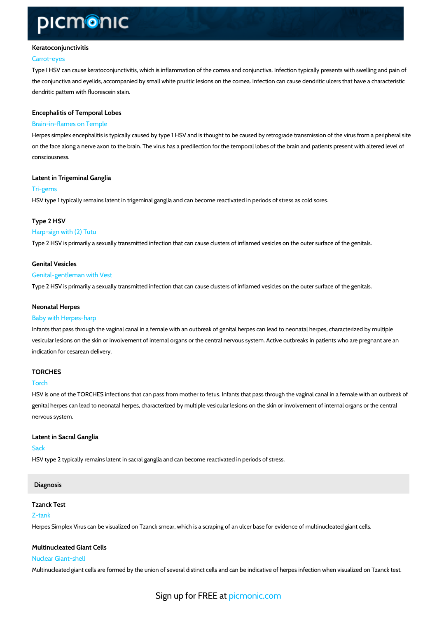### Keratoconjunctivitis

#### Carrot-eyes

Type I HSV can cause keratoconjunctivitis, which is inflammation of the cornea and conjunctiv the conjunctiva and eyelids, accompanied by small white pruritic lesions on the cornea. Infect dendritic pattern with fluorescein stain.

## Encephalitis of Temporal Lobes Brain-in-flames on Temple

Herpes simplex encephalitis is typically caused by type 1 HSV and is thought to be caused by on the face along a nerve axon to the brain. The virus has a predilection for the temporal lobes consciousness.

Latent in Trigeminal Ganglia Tri-gems HSV type 1 typically remains latent in trigeminal ganglia and can become reactivated in perio

Type 2 HSV Harp-sign with (2) Tutu Type 2 HSV is primarily a sexually transmitted infection that can cause clusters of inflamed v

Genital Vesicles Genital-gentleman with Vest Type 2 HSV is primarily a sexually transmitted infection that can cause clusters of inflamed v

### Neonatal Herpes

### Baby with Herpes-harp

Infants that pass through the vaginal canal in a female with an outbreak of genital herpes can vesicular lesions on the skin or involvement of internal organs or the central nervous system. indication for cesarean delivery.

### TORCHES

### Torch

HSV is one of the TORCHES infections that can pass from mother to fetus. Infants that pass t genital herpes can lead to neonatal herpes, characterized by multiple vesicular lesions on the nervous system.

Latent in Sacral Ganglia Sack HSV type 2 typically remains latent in sacral ganglia and can become reactivated in periods o

### Diagnosis

Tzanck Test Z-tank Herpes Simplex Virus can be visualized on Tzanck smear, which is a scraping of an ulcer base

Multinucleated Giant Cells Nuclear Giant-shell Multinucleated giant cells are formed by the union of several distinct cells and can be indicat

Sign up for **FREE** at com